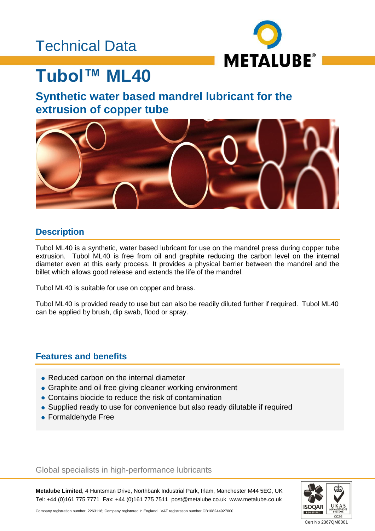## Technical Data



# **Tubol™ ML40**

### **Synthetic water based mandrel lubricant for the extrusion of copper tube**



### **Description**

Tubol ML40 is a synthetic, water based lubricant for use on the mandrel press during copper tube extrusion. Tubol ML40 is free from oil and graphite reducing the carbon level on the internal diameter even at this early process. It provides a physical barrier between the mandrel and the billet which allows good release and extends the life of the mandrel.

Tubol ML40 is suitable for use on copper and brass.

Tubol ML40 is provided ready to use but can also be readily diluted further if required. Tubol ML40 can be applied by brush, dip swab, flood or spray.

### **Features and benefits**

- Reduced carbon on the internal diameter
- Graphite and oil free giving cleaner working environment
- Contains biocide to reduce the risk of contamination
- Supplied ready to use for convenience but also ready dilutable if required
- Formaldehyde Free

Global specialists in high-performance lubricants

**Metalube Limited**, 4 Huntsman Drive, Northbank Industrial Park, Irlam, Manchester M44 5EG, UK Tel: +44 (0)161 775 7771 Fax: +44 (0)161 775 7511 post@metalube.co.uk www.metalube.co.uk



Company registration number: 2263118; Company registered in England VAT registration number GB108244927000